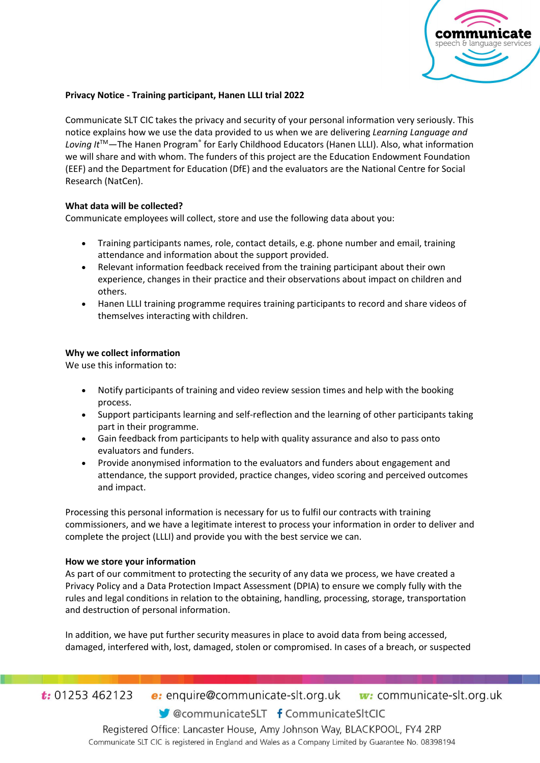

## **Privacy Notice - Training participant, Hanen LLLI trial 2022**

Communicate SLT CIC takes the privacy and security of your personal information very seriously. This notice explains how we use the data provided to us when we are delivering *Learning Language and*  Loving It<sup>™</sup>—The Hanen Program® for Early Childhood Educators (Hanen LLLI). Also, what information we will share and with whom. The funders of this project are the Education Endowment Foundation (EEF) and the Department for Education (DfE) and the evaluators are the National Centre for Social Research (NatCen).

### **What data will be collected?**

Communicate employees will collect, store and use the following data about you:

- Training participants names, role, contact details, e.g. phone number and email, training attendance and information about the support provided.
- Relevant information feedback received from the training participant about their own experience, changes in their practice and their observations about impact on children and others.
- Hanen LLLI training programme requires training participants to record and share videos of themselves interacting with children.

# **Why we collect information**

We use this information to:

- Notify participants of training and video review session times and help with the booking process.
- Support participants learning and self-reflection and the learning of other participants taking part in their programme.
- Gain feedback from participants to help with quality assurance and also to pass onto evaluators and funders.
- Provide anonymised information to the evaluators and funders about engagement and attendance, the support provided, practice changes, video scoring and perceived outcomes and impact.

Processing this personal information is necessary for us to fulfil our contracts with training commissioners, and we have a legitimate interest to process your information in order to deliver and complete the project (LLLI) and provide you with the best service we can.

### **How we store your information**

As part of our commitment to protecting the security of any data we process, we have created a Privacy Policy and a Data Protection Impact Assessment (DPIA) to ensure we comply fully with the rules and legal conditions in relation to the obtaining, handling, processing, storage, transportation and destruction of personal information.

In addition, we have put further security measures in place to avoid data from being accessed, damaged, interfered with, lost, damaged, stolen or compromised. In cases of a breach, or suspected

 $t: 01253462123$ **e:** enquire@communicate-slt.org.uk  $\mathbf{w}$ : communicate-slt.org.uk

CommunicateSLT f CommunicateSItCIC

Registered Office: Lancaster House, Amy Johnson Way, BLACKPOOL, FY4 2RP Communicate SLT CIC is registered in England and Wales as a Company Limited by Guarantee No. 08398194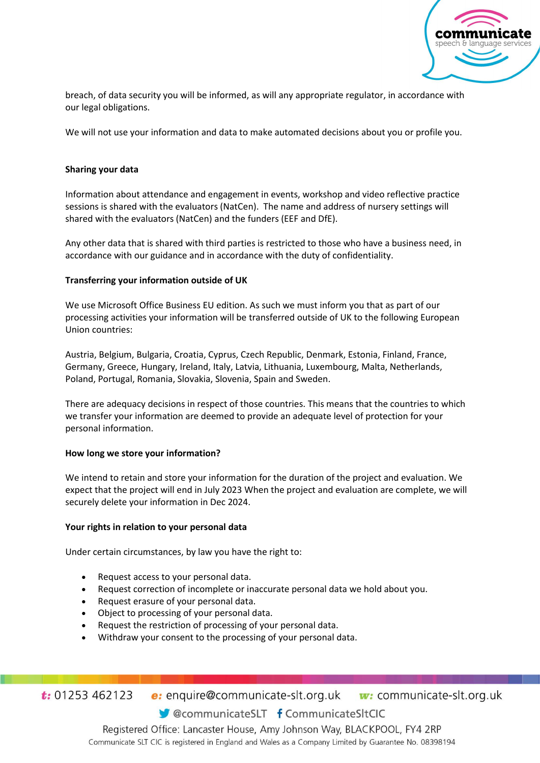

breach, of data security you will be informed, as will any appropriate regulator, in accordance with our legal obligations.

We will not use your information and data to make automated decisions about you or profile you.

## **Sharing your data**

Information about attendance and engagement in events, workshop and video reflective practice sessions is shared with the evaluators (NatCen). The name and address of nursery settings will shared with the evaluators (NatCen) and the funders (EEF and DfE).

Any other data that is shared with third parties is restricted to those who have a business need, in accordance with our guidance and in accordance with the duty of confidentiality.

### **Transferring your information outside of UK**

We use Microsoft Office Business EU edition. As such we must inform you that as part of our processing activities your information will be transferred outside of UK to the following European Union countries:

Austria, Belgium, Bulgaria, Croatia, Cyprus, Czech Republic, Denmark, Estonia, Finland, France, Germany, Greece, Hungary, Ireland, Italy, Latvia, Lithuania, Luxembourg, Malta, Netherlands, Poland, Portugal, Romania, Slovakia, Slovenia, Spain and Sweden.

There are adequacy decisions in respect of those countries. This means that the countries to which we transfer your information are deemed to provide an adequate level of protection for your personal information.

### **How long we store your information?**

We intend to retain and store your information for the duration of the project and evaluation. We expect that the project will end in July 2023 When the project and evaluation are complete, we will securely delete your information in Dec 2024.

### **Your rights in relation to your personal data**

Under certain circumstances, by law you have the right to:

- Request access to your personal data.
- Request correction of incomplete or inaccurate personal data we hold about you.
- Request erasure of your personal data.
- Object to processing of your personal data.
- Request the restriction of processing of your personal data.
- Withdraw your consent to the processing of your personal data.

 $t: 01253462123$ e: enquire@communicate-slt.org.uk w: communicate-slt.org.uk

CommunicateSLT f CommunicateSItCIC

Registered Office: Lancaster House, Amy Johnson Way, BLACKPOOL, FY4 2RP Communicate SLT CIC is registered in England and Wales as a Company Limited by Guarantee No. 08398194